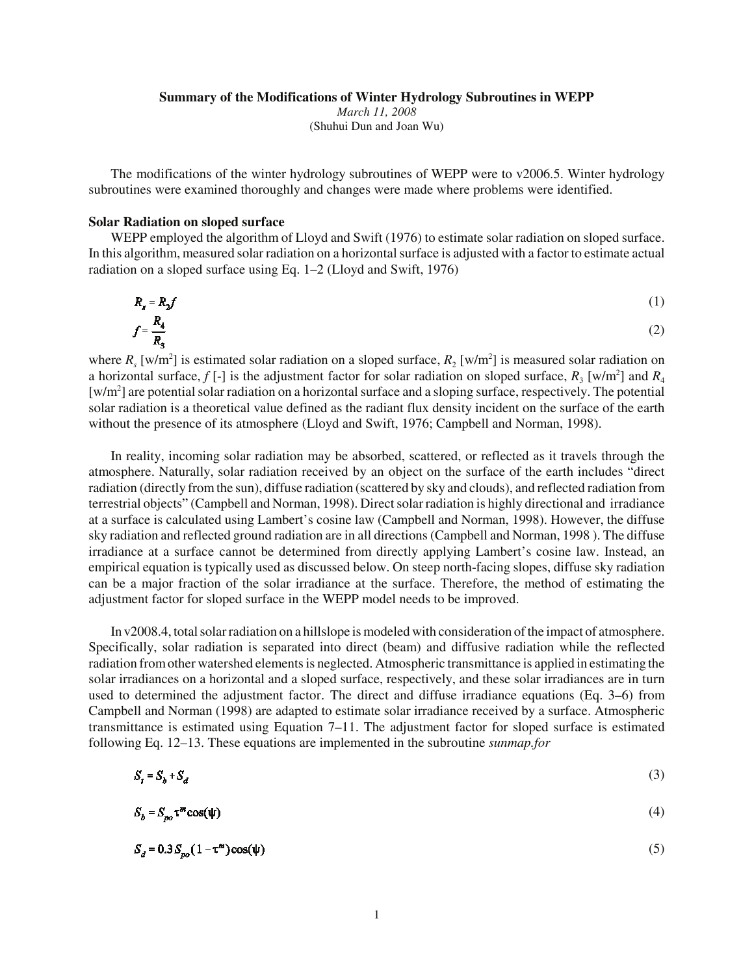#### **Summary of the Modifications of Winter Hydrology Subroutines in WEPP**

*March 11, 2008* (Shuhui Dun and Joan Wu)

The modifications of the winter hydrology subroutines of WEPP were to v2006.5. Winter hydrology subroutines were examined thoroughly and changes were made where problems were identified.

## **Solar Radiation on sloped surface**

WEPP employed the algorithm of Lloyd and Swift (1976) to estimate solar radiation on sloped surface. In this algorithm, measured solar radiation on a horizontal surface is adjusted with a factor to estimate actual radiation on a sloped surface using Eq. 1–2 (Lloyd and Swift, 1976)

$$
R_s = R_2 f
$$
  
\n
$$
f = \frac{R_4}{R_3}
$$
\n(1)

where  $R_s$  [w/m<sup>2</sup>] is estimated solar radiation on a sloped surface,  $R_2$  [w/m<sup>2</sup>] is measured solar radiation on a horizontal surface,  $f$  [-] is the adjustment factor for solar radiation on sloped surface,  $R_3$  [w/m<sup>2</sup>] and  $R_4$  $[w/m<sup>2</sup>]$  are potential solar radiation on a horizontal surface and a sloping surface, respectively. The potential solar radiation is a theoretical value defined as the radiant flux density incident on the surface of the earth without the presence of its atmosphere (Lloyd and Swift, 1976; Campbell and Norman, 1998).

In reality, incoming solar radiation may be absorbed, scattered, or reflected as it travels through the atmosphere. Naturally, solar radiation received by an object on the surface of the earth includes "direct radiation (directly from the sun), diffuse radiation (scattered by sky and clouds), and reflected radiation from terrestrial objects" (Campbell and Norman, 1998). Direct solar radiation is highly directional and irradiance at a surface is calculated using Lambert's cosine law (Campbell and Norman, 1998). However, the diffuse sky radiation and reflected ground radiation are in all directions (Campbell and Norman, 1998 ). The diffuse irradiance at a surface cannot be determined from directly applying Lambert's cosine law. Instead, an empirical equation is typically used as discussed below. On steep north-facing slopes, diffuse sky radiation can be a major fraction of the solar irradiance at the surface. Therefore, the method of estimating the adjustment factor for sloped surface in the WEPP model needs to be improved.

In v2008.4, total solar radiation on a hillslope is modeled with consideration of the impact of atmosphere. Specifically, solar radiation is separated into direct (beam) and diffusive radiation while the reflected radiation from other watershed elements is neglected. Atmospheric transmittance is applied in estimating the solar irradiances on a horizontal and a sloped surface, respectively, and these solar irradiances are in turn used to determined the adjustment factor. The direct and diffuse irradiance equations (Eq. 3–6) from Campbell and Norman (1998) are adapted to estimate solar irradiance received by a surface. Atmospheric transmittance is estimated using Equation 7–11. The adjustment factor for sloped surface is estimated following Eq. 12–13. These equations are implemented in the subroutine *sunmap.for*

$$
S_t = S_b + S_d \tag{3}
$$

$$
S_b = S_{po} \tau^m \cos(\psi) \tag{4}
$$

$$
S_d = 0.3 S_{n0} (1 - \tau^m) \cos(\psi) \tag{5}
$$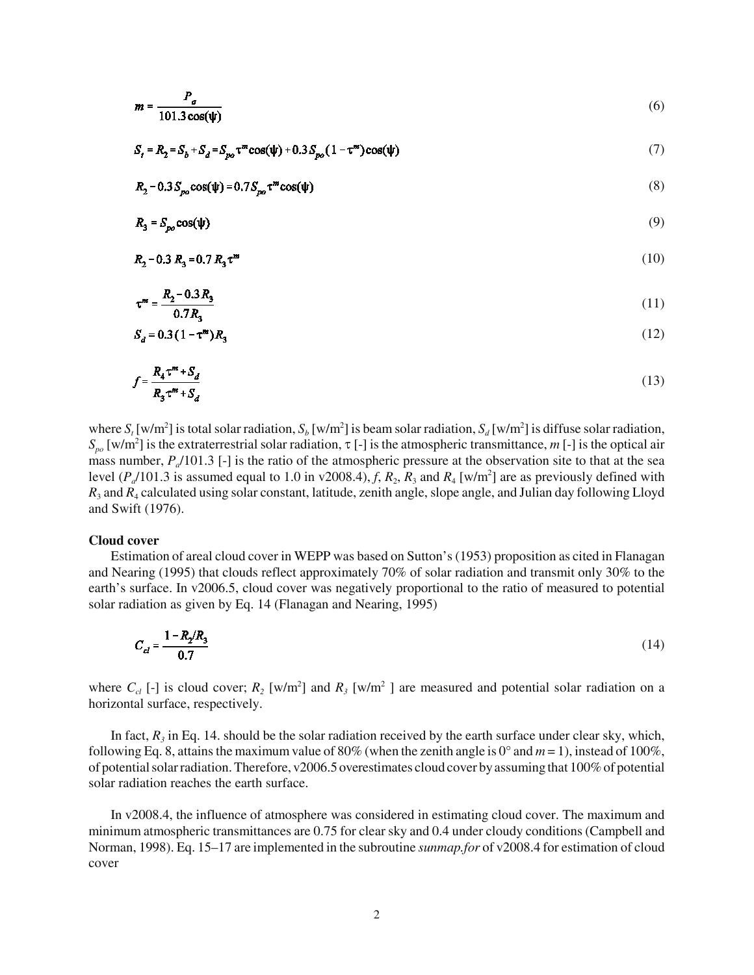$$
m = \frac{P_a}{101.3 \cos(\psi)}\tag{6}
$$

$$
S_t = R_2 = S_b + S_d = S_{po} \tau^m \cos(\psi) + 0.3 S_{po} (1 - \tau^m) \cos(\psi)
$$
 (7)

$$
R_2 - 0.3 S_{po} \cos(\psi) = 0.7 S_{po} \tau^m \cos(\psi)
$$
 (8)

$$
R_3 = S_{po} \cos(\psi) \tag{9}
$$

$$
R_2 - 0.3 R_3 = 0.7 R_3 \tau^m \tag{10}
$$

$$
\tau^m = \frac{R_2 - 0.3 R_3}{0.7 R_2} \tag{11}
$$

$$
S_d = 0.3(1 - \tau^m)R_3
$$
 (12)

$$
f = \frac{R_4 \tau^m + S_d}{R_3 \tau^m + S_d} \tag{13}
$$

where  $S_t$  [w/m<sup>2</sup>] is total solar radiation,  $S_b$  [w/m<sup>2</sup>] is beam solar radiation,  $S_d$  [w/m<sup>2</sup>] is diffuse solar radiation,  $S_{po}$  [w/m<sup>2</sup>] is the extraterrestrial solar radiation,  $\tau$  [-] is the atmospheric transmittance, *m* [-] is the optical air mass number,  $P_a/101.3$  [-] is the ratio of the atmospheric pressure at the observation site to that at the sea level  $(P_a/101.3$  is assumed equal to 1.0 in v2008.4),  $f$ ,  $R_2$ ,  $R_3$  and  $R_4$  [w/m<sup>2</sup>] are as previously defined with *R*3 and *R*4 calculated using solar constant, latitude, zenith angle, slope angle, and Julian day following Lloyd and Swift (1976).

#### **Cloud cover**

Estimation of areal cloud cover in WEPP was based on Sutton's (1953) proposition as cited in Flanagan and Nearing (1995) that clouds reflect approximately 70% of solar radiation and transmit only 30% to the earth's surface. In v2006.5, cloud cover was negatively proportional to the ratio of measured to potential solar radiation as given by Eq. 14 (Flanagan and Nearing, 1995)

$$
C_{cl} = \frac{1 - R_2/R_3}{0.7}
$$
 (14)

where  $C_{cl}$  [-] is cloud cover;  $R_2$  [w/m<sup>2</sup>] and  $R_3$  [w/m<sup>2</sup>] are measured and potential solar radiation on a horizontal surface, respectively.

In fact,  $R_3$  in Eq. 14. should be the solar radiation received by the earth surface under clear sky, which, following Eq. 8, attains the maximum value of 80% (when the zenith angle is 0° and  $m = 1$ ), instead of 100%, of potential solar radiation. Therefore, v2006.5 overestimates cloud cover by assuming that 100% of potential solar radiation reaches the earth surface.

In v2008.4, the influence of atmosphere was considered in estimating cloud cover. The maximum and minimum atmospheric transmittances are 0.75 for clear sky and 0.4 under cloudy conditions (Campbell and Norman, 1998). Eq. 15–17 are implemented in the subroutine *sunmap.for* of v2008.4 for estimation of cloud cover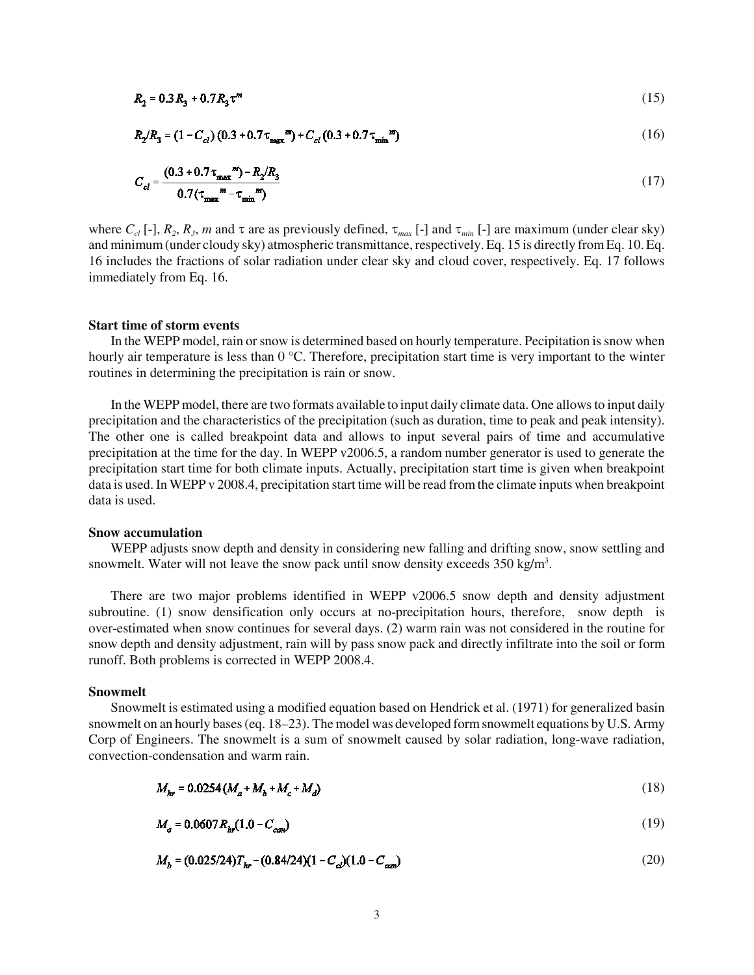$$
R_2 = 0.3 R_3 + 0.7 R_3 \tau^m \tag{15}
$$

$$
R_2/R_3 = (1 - C_{cl}) (0.3 + 0.7 \tau_{\text{max}}^{m}) + C_{cl} (0.3 + 0.7 \tau_{\text{min}}^{m})
$$
\n(16)

$$
C_{cl} = \frac{(0.3 + 0.7 \tau_{\text{max}})^m - R_2 / R_3}{0.7 (\tau_{\text{max}}^m - \tau_{\text{min}}^m)}
$$
(17)

where  $C_{cl}$  [-],  $R_2$ ,  $R_3$ , *m* and  $\tau$  are as previously defined,  $\tau_{max}$  [-] and  $\tau_{min}$  [-] are maximum (under clear sky) and minimum (under cloudy sky) atmospheric transmittance, respectively. Eq. 15 is directly from Eq. 10. Eq. 16 includes the fractions of solar radiation under clear sky and cloud cover, respectively. Eq. 17 follows immediately from Eq. 16.

# **Start time of storm events**

In the WEPP model, rain or snow is determined based on hourly temperature. Pecipitation is snow when hourly air temperature is less than 0 °C. Therefore, precipitation start time is very important to the winter routines in determining the precipitation is rain or snow.

In the WEPP model, there are two formats available to input daily climate data. One allows to input daily precipitation and the characteristics of the precipitation (such as duration, time to peak and peak intensity). The other one is called breakpoint data and allows to input several pairs of time and accumulative precipitation at the time for the day. In WEPP v2006.5, a random number generator is used to generate the precipitation start time for both climate inputs. Actually, precipitation start time is given when breakpoint data is used. In WEPP v 2008.4, precipitation start time will be read from the climate inputs when breakpoint data is used.

#### **Snow accumulation**

WEPP adjusts snow depth and density in considering new falling and drifting snow, snow settling and snowmelt. Water will not leave the snow pack until snow density exceeds  $350 \text{ kg/m}^3$ .

There are two major problems identified in WEPP v2006.5 snow depth and density adjustment subroutine. (1) snow densification only occurs at no-precipitation hours, therefore, snow depth is over-estimated when snow continues for several days. (2) warm rain was not considered in the routine for snow depth and density adjustment, rain will by pass snow pack and directly infiltrate into the soil or form runoff. Both problems is corrected in WEPP 2008.4.

## **Snowmelt**

Snowmelt is estimated using a modified equation based on Hendrick et al. (1971) for generalized basin snowmelt on an hourly bases (eq. 18–23). The model was developed form snowmelt equations by U.S. Army Corp of Engineers. The snowmelt is a sum of snowmelt caused by solar radiation, long-wave radiation, convection-condensation and warm rain.

$$
M_{hr} = 0.0254 (M_a + M_b + M_c + M_d)
$$
 (18)

$$
M_a = 0.0607 R_{hr}(1.0 - C_{can})
$$
\n(19)

$$
M_b = (0.025/24)T_{hr} - (0.84/24)(1 - C_{cl})(1.0 - C_{can})
$$
\n(20)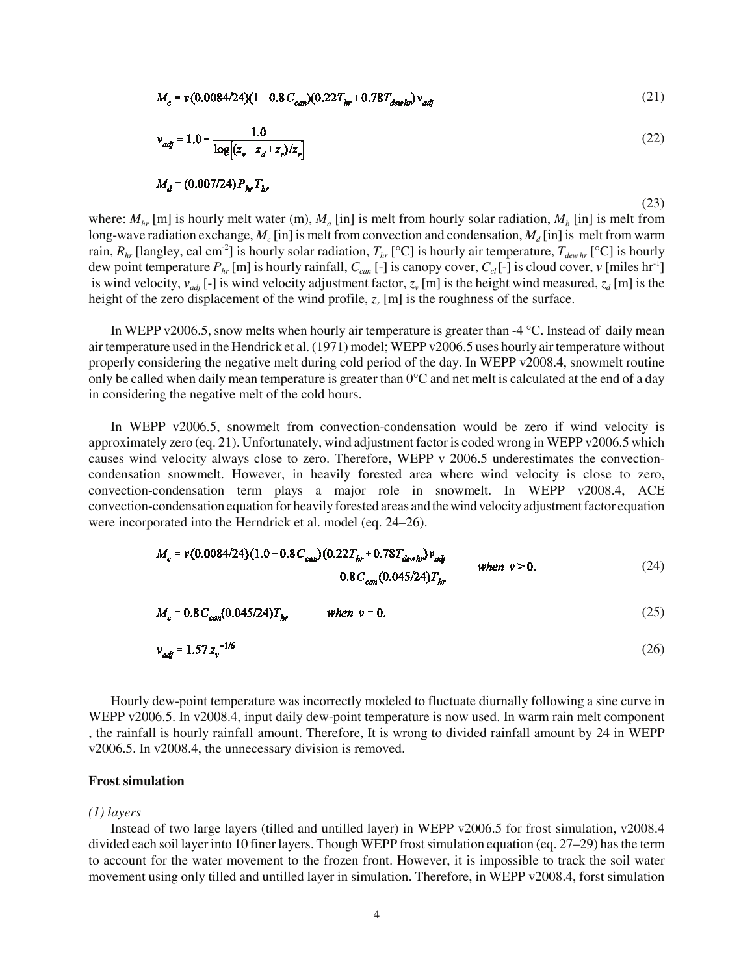$$
M_c = v(0.0084/24)(1 - 0.8C_{\text{can}})(0.22T_{hr} + 0.78T_{\text{dev}})v_{\text{adi}} \tag{21}
$$

$$
v_{adj} = 1.0 - \frac{1.0}{\log[(z_v - z_d + z_r)/z_r]}
$$
 (22)

$$
M_d = (0.007/24) P_{hr} T_{hr}
$$

(23)

where:  $M_{hr}$  [m] is hourly melt water (m),  $M_a$  [in] is melt from hourly solar radiation,  $M_b$  [in] is melt from long-wave radiation exchange,  $M_c$  [in] is melt from convection and condensation,  $M_d$  [in] is melt from warm rain,  $R_{hr}$  [langley, cal cm<sup>-2</sup>] is hourly solar radiation,  $T_{hr}$  [°C] is hourly air temperature,  $T_{dewhr}$  [°C] is hourly dew point temperature  $P_{hr}$  [m] is hourly rainfall,  $C_{can}$  [-] is canopy cover,  $C_{cl}$  [-] is cloud cover, *v* [miles hr<sup>-1</sup>] is wind velocity,  $v_{adj}$  [-] is wind velocity adjustment factor,  $z_v$  [m] is the height wind measured,  $z_d$  [m] is the height of the zero displacement of the wind profile,  $z_r$  [m] is the roughness of the surface.

In WEPP v2006.5, snow melts when hourly air temperature is greater than  $-4 \degree C$ . Instead of daily mean air temperature used in the Hendrick et al. (1971) model; WEPP v2006.5 uses hourly air temperature without properly considering the negative melt during cold period of the day. In WEPP v2008.4, snowmelt routine only be called when daily mean temperature is greater than 0°C and net melt is calculated at the end of a day in considering the negative melt of the cold hours.

In WEPP v2006.5, snowmelt from convection-condensation would be zero if wind velocity is approximately zero (eq. 21). Unfortunately, wind adjustment factor is coded wrong in WEPP v2006.5 which causes wind velocity always close to zero. Therefore, WEPP v 2006.5 underestimates the convectioncondensation snowmelt. However, in heavily forested area where wind velocity is close to zero, convection-condensation term plays a major role in snowmelt. In WEPP v2008.4, ACE convection-condensation equation for heavily forested areas and the wind velocity adjustment factor equation were incorporated into the Herndrick et al. model (eq. 24–26).

$$
M_c = v(0.0084/24)(1.0 - 0.8C_{can})(0.22T_{hr} + 0.78T_{dewhr})v_{adj}
$$
  
+ 0.8C\_{carr}(0.045/24)T<sub>hr</sub> when v > 0. (24)

$$
M_c = 0.8 C_{cm} (0.045/24) T_{hr} \qquad when \ v = 0. \tag{25}
$$

$$
v_{\text{adj}} = 1.57 z_{\text{v}}^{-1/6} \tag{26}
$$

Hourly dew-point temperature was incorrectly modeled to fluctuate diurnally following a sine curve in WEPP v2006.5. In v2008.4, input daily dew-point temperature is now used. In warm rain melt component , the rainfall is hourly rainfall amount. Therefore, It is wrong to divided rainfall amount by 24 in WEPP v2006.5. In v2008.4, the unnecessary division is removed.

## **Frost simulation**

#### *(1) layers*

Instead of two large layers (tilled and untilled layer) in WEPP v2006.5 for frost simulation, v2008.4 divided each soil layer into 10 finer layers. Though WEPP frost simulation equation (eq. 27–29) has the term to account for the water movement to the frozen front. However, it is impossible to track the soil water movement using only tilled and untilled layer in simulation. Therefore, in WEPP v2008.4, forst simulation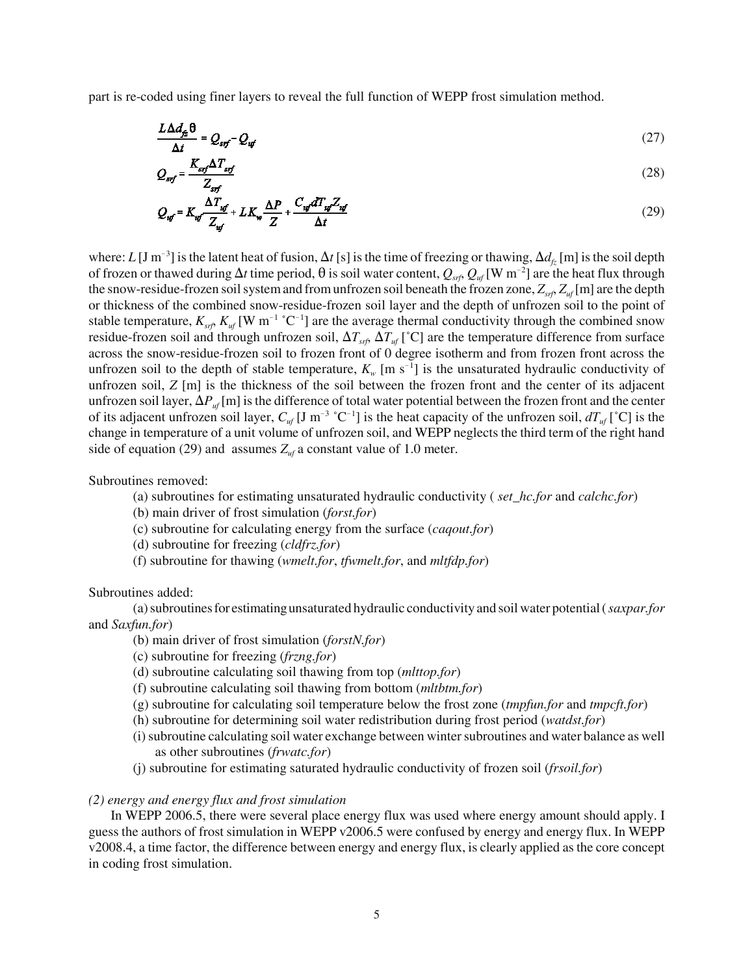part is re-coded using finer layers to reveal the full function of WEPP frost simulation method.

$$
\frac{L\Delta d_{f_2}\theta}{\Delta t} = Q_{srf} - Q_{uf} \tag{27}
$$

$$
Q_{srf} = \frac{K_{srf} \Delta T_{srf}}{Z_{srf}}\tag{28}
$$

$$
Q_{uf} = K_{uf} \frac{\Delta T_{uf}}{Z_{uf}} + L K_w \frac{\Delta P}{Z} + \frac{C_{uf} dT_{uf} Z_{uf}}{\Delta t}
$$
\n(29)

where:  $L [J m^{-3}]$  is the latent heat of fusion,  $\Delta t [s]$  is the time of freezing or thawing,  $\Delta d_{f_z} [m]$  is the soil depth of frozen or thawed during  $\Delta t$  time period,  $\theta$  is soil water content,  $Q_{stf}$ ,  $Q_{uf}$  [W m<sup>-2</sup>] are the heat flux through the snow-residue-frozen soil system and from unfrozen soil beneath the frozen zone,  $Z_{\text{stf}}$ ,  $Z_{\text{uf}}$  [m] are the depth or thickness of the combined snow-residue-frozen soil layer and the depth of unfrozen soil to the point of stable temperature,  $K_{srf}$ ,  $K_{uf}$  [W m<sup>-1</sup> °C<sup>-1</sup>] are the average thermal conductivity through the combined snow residue-frozen soil and through unfrozen soil,  $\Delta T_{sf}$   $\Delta T_{uf}$  [°C] are the temperature difference from surface across the snow-residue-frozen soil to frozen front of 0 degree isotherm and from frozen front across the unfrozen soil to the depth of stable temperature,  $K_w$  [m s<sup>-1</sup>] is the unsaturated hydraulic conductivity of unfrozen soil, *Z* [m] is the thickness of the soil between the frozen front and the center of its adjacent unfrozen soil layer,  $\Delta P_{uf}$  [m] is the difference of total water potential between the frozen front and the center of its adjacent unfrozen soil layer,  $C_{uf}$  [J m<sup>-3</sup> °C<sup>-1</sup>] is the heat capacity of the unfrozen soil,  $dT_{uf}$  [°C] is the change in temperature of a unit volume of unfrozen soil, and WEPP neglects the third term of the right hand side of equation (29) and assumes  $Z_{uf}$  a constant value of 1.0 meter.

Subroutines removed:

- (a) subroutines for estimating unsaturated hydraulic conductivity ( *set\_hc.for* and *calchc.for*)
- (b) main driver of frost simulation (*forst.for*)
- (c) subroutine for calculating energy from the surface (*caqout.for*)
- (d) subroutine for freezing (*cldfrz.for*)
- (f) subroutine for thawing (*wmelt.for*, *tfwmelt.for*, and *mltfdp.for*)

Subroutines added:

(a) subroutines for estimating unsaturated hydraulic conductivity and soil water potential ( *saxpar.for* and *Saxfun.for*)

- (b) main driver of frost simulation (*forstN.for*)
- (c) subroutine for freezing (*frzng.for*)
- (d) subroutine calculating soil thawing from top (*mlttop.for*)
- (f) subroutine calculating soil thawing from bottom (*mltbtm.for*)
- (g) subroutine for calculating soil temperature below the frost zone (*tmpfun.for* and *tmpcft.for*)
- (h) subroutine for determining soil water redistribution during frost period (*watdst.for*)
- (i) subroutine calculating soil water exchange between winter subroutines and water balance as well as other subroutines (*frwatc.for*)
- (j) subroutine for estimating saturated hydraulic conductivity of frozen soil (*frsoil.for*)

## *(2) energy and energy flux and frost simulation*

In WEPP 2006.5, there were several place energy flux was used where energy amount should apply. I guess the authors of frost simulation in WEPP v2006.5 were confused by energy and energy flux. In WEPP v2008.4, a time factor, the difference between energy and energy flux, is clearly applied as the core concept in coding frost simulation.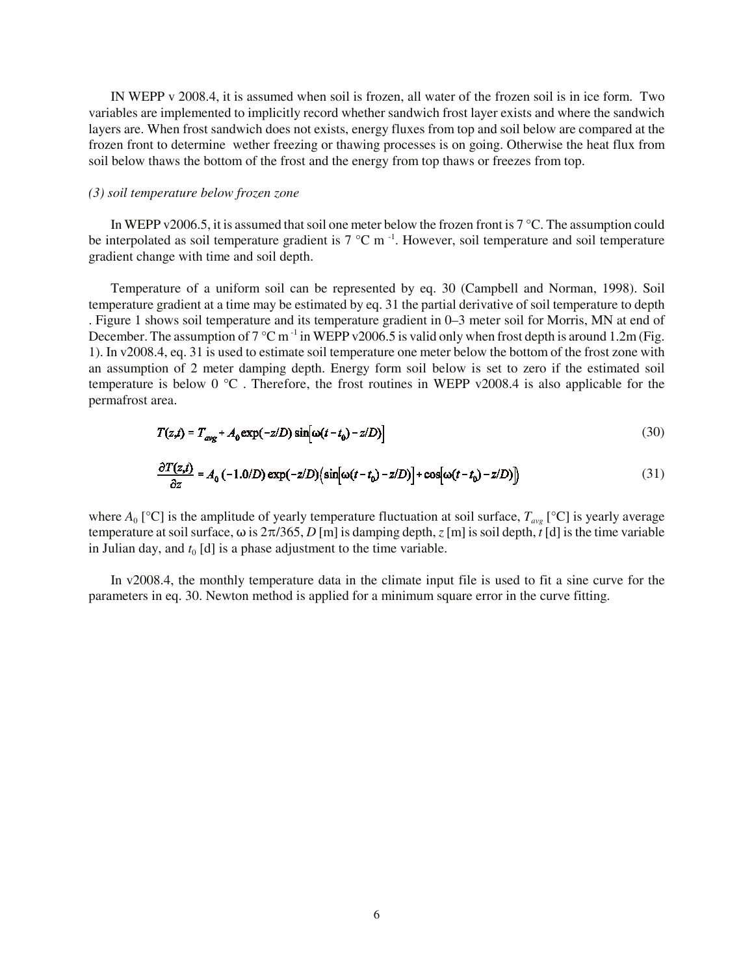IN WEPP v 2008.4, it is assumed when soil is frozen, all water of the frozen soil is in ice form. Two variables are implemented to implicitly record whether sandwich frost layer exists and where the sandwich layers are. When frost sandwich does not exists, energy fluxes from top and soil below are compared at the frozen front to determine wether freezing or thawing processes is on going. Otherwise the heat flux from soil below thaws the bottom of the frost and the energy from top thaws or freezes from top.

## *(3) soil temperature below frozen zone*

In WEPP v2006.5, it is assumed that soil one meter below the frozen front is 7 °C. The assumption could be interpolated as soil temperature gradient is  $7 \degree C$  m<sup>-1</sup>. However, soil temperature and soil temperature gradient change with time and soil depth.

Temperature of a uniform soil can be represented by eq. 30 (Campbell and Norman, 1998). Soil temperature gradient at a time may be estimated by eq. 31 the partial derivative of soil temperature to depth . Figure 1 shows soil temperature and its temperature gradient in 0–3 meter soil for Morris, MN at end of December. The assumption of  $7^{\circ}$ C m<sup>-1</sup> in WEPP v2006.5 is valid only when frost depth is around 1.2m (Fig. 1). In v2008.4, eq. 31 is used to estimate soil temperature one meter below the bottom of the frost zone with an assumption of 2 meter damping depth. Energy form soil below is set to zero if the estimated soil temperature is below 0 °C . Therefore, the frost routines in WEPP v2008.4 is also applicable for the permafrost area.

$$
T(z,t) = T_{avg} + A_0 \exp(-z/D) \sin[\omega(t - t_0) - z/D]
$$
\n(30)

$$
\frac{\partial T(z,t)}{\partial z} = A_0 \left( -1.0/D \right) \exp(-z/D) \left( \sin[\omega(t - t_0) - z/D) \right] + \cos[\omega(t - t_0) - z/D) \right)
$$
(31)

where  $A_0$  [°C] is the amplitude of yearly temperature fluctuation at soil surface,  $T_{ave}$  [°C] is yearly average temperature at soil surface,  $\omega$  is  $2\pi/365$ , *D* [m] is damping depth, *z* [m] is soil depth, *t* [d] is the time variable in Julian day, and  $t_0$  [d] is a phase adjustment to the time variable.

In v2008.4, the monthly temperature data in the climate input file is used to fit a sine curve for the parameters in eq. 30. Newton method is applied for a minimum square error in the curve fitting.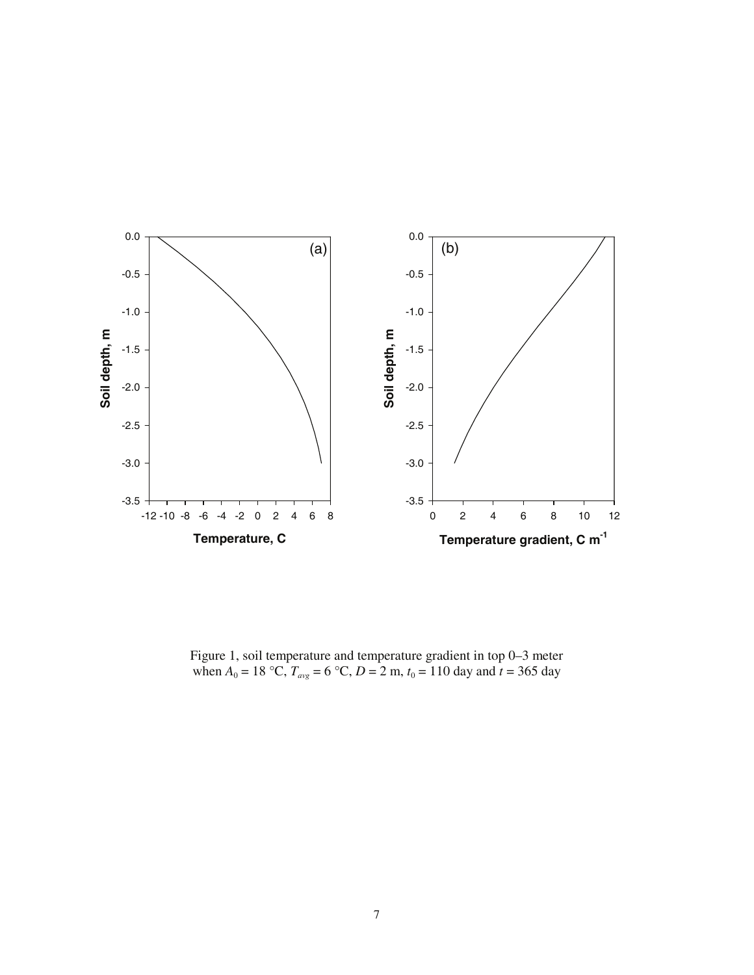

Figure 1, soil temperature and temperature gradient in top 0–3 meter when  $A_0 = 18 \text{ °C}, T_{avg} = 6 \text{ °C}, D = 2 \text{ m}, t_0 = 110 \text{ day and } t = 365 \text{ day}$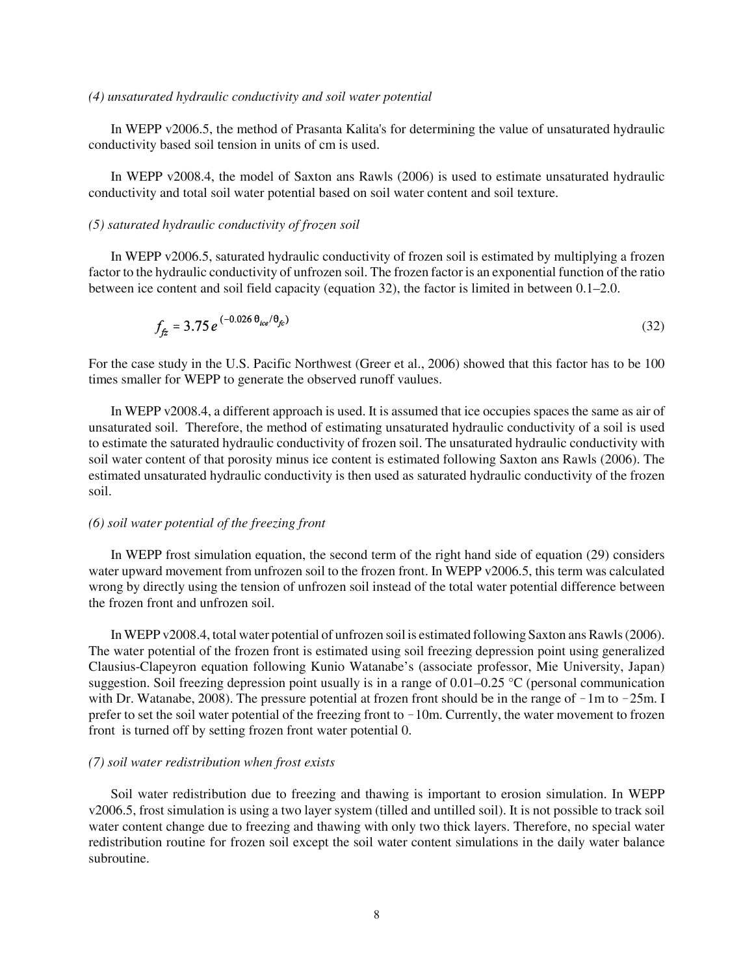#### *(4) unsaturated hydraulic conductivity and soil water potential*

In WEPP v2006.5, the method of Prasanta Kalita's for determining the value of unsaturated hydraulic conductivity based soil tension in units of cm is used.

In WEPP v2008.4, the model of Saxton ans Rawls (2006) is used to estimate unsaturated hydraulic conductivity and total soil water potential based on soil water content and soil texture.

# *(5) saturated hydraulic conductivity of frozen soil*

In WEPP v2006.5, saturated hydraulic conductivity of frozen soil is estimated by multiplying a frozen factor to the hydraulic conductivity of unfrozen soil. The frozen factor is an exponential function of the ratio between ice content and soil field capacity (equation 32), the factor is limited in between 0.1–2.0.

$$
f_{f\!z} = 3.75 e^{(-0.026 \theta_{ice}/\theta_{fc})}
$$
\n(32)

For the case study in the U.S. Pacific Northwest (Greer et al., 2006) showed that this factor has to be 100 times smaller for WEPP to generate the observed runoff vaulues.

In WEPP v2008.4, a different approach is used. It is assumed that ice occupies spaces the same as air of unsaturated soil. Therefore, the method of estimating unsaturated hydraulic conductivity of a soil is used to estimate the saturated hydraulic conductivity of frozen soil. The unsaturated hydraulic conductivity with soil water content of that porosity minus ice content is estimated following Saxton ans Rawls (2006). The estimated unsaturated hydraulic conductivity is then used as saturated hydraulic conductivity of the frozen soil.

## *(6) soil water potential of the freezing front*

In WEPP frost simulation equation, the second term of the right hand side of equation (29) considers water upward movement from unfrozen soil to the frozen front. In WEPP v2006.5, this term was calculated wrong by directly using the tension of unfrozen soil instead of the total water potential difference between the frozen front and unfrozen soil.

In WEPP v2008.4, total water potential of unfrozen soil is estimated following Saxton ans Rawls (2006). The water potential of the frozen front is estimated using soil freezing depression point using generalized Clausius-Clapeyron equation following Kunio Watanabe's (associate professor, Mie University, Japan) suggestion. Soil freezing depression point usually is in a range of 0.01–0.25 °C (personal communication with Dr. Watanabe, 2008). The pressure potential at frozen front should be in the range of  $-1m$  to  $-25m$ . I prefer to set the soil water potential of the freezing front to  $-10$ m. Currently, the water movement to frozen front is turned off by setting frozen front water potential 0.

#### *(7) soil water redistribution when frost exists*

Soil water redistribution due to freezing and thawing is important to erosion simulation. In WEPP v2006.5, frost simulation is using a two layer system (tilled and untilled soil). It is not possible to track soil water content change due to freezing and thawing with only two thick layers. Therefore, no special water redistribution routine for frozen soil except the soil water content simulations in the daily water balance subroutine.